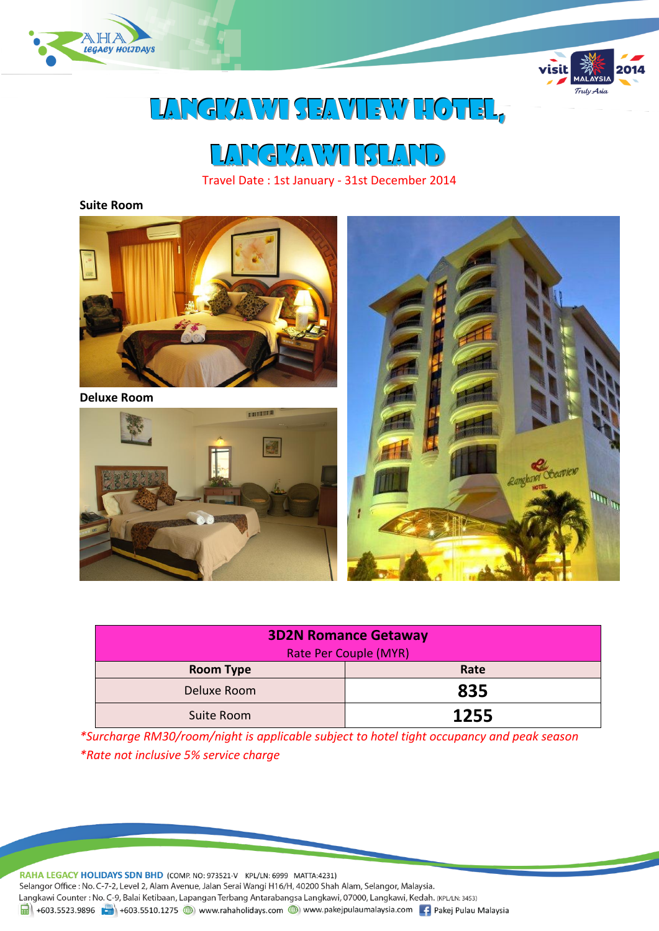



# Langkawi Seaview Hotel,

Langkawi ISLAND

Travel Date : 1st January - 31st December 2014

#### **Suite Room**



**Deluxe Room**





| <b>3D2N Romance Getaway</b>  |      |  |
|------------------------------|------|--|
| <b>Rate Per Couple (MYR)</b> |      |  |
| <b>Room Type</b>             | Rate |  |
| Deluxe Room                  | 835  |  |
| Suite Room                   | 1255 |  |

*\*Surcharge RM30/room/night is applicable subject to hotel tight occupancy and peak season \*Rate not inclusive 5% service charge*

RAHA LEGACY HOLIDAYS SDN BHD (COMP. NO: 973521-V KPL/LN: 6999 MATTA:4231) Selangor Office : No. C-7-2, Level 2, Alam Avenue, Jalan Serai Wangi H16/H, 40200 Shah Alam, Selangor, Malaysia. Langkawi Counter: No. C-9, Balai Ketibaan, Lapangan Terbang Antarabangsa Langkawi, 07000, Langkawi, Kedah. (KPL/LN: 3453) 19 +603.5523.9896 + +603.5510.1275 (b) www.rahaholidays.com (b) www.pakejpulaumalaysia.com + Pakej Pulau Malaysia